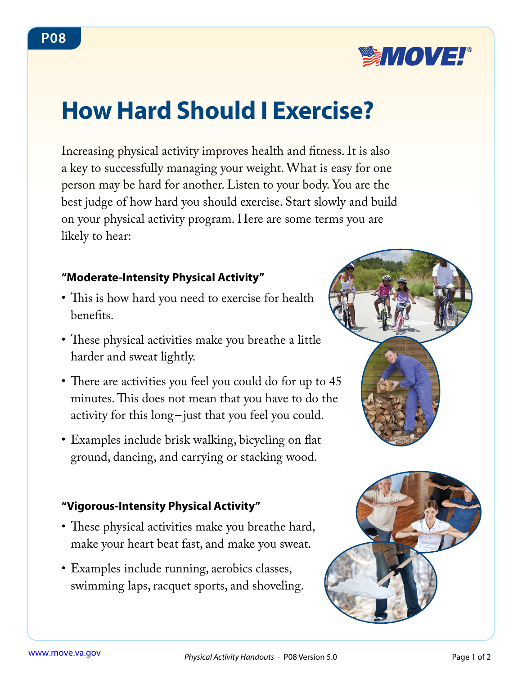

# **How Hard Should I Exercise?**

Increasing physical activity improves health and fitness. It is also a key to successfully managing your weight. What is easy for one person may be hard for another. Listen to your body. You are the best judge of how hard you should exercise. Start slowly and build on your physical activity program. Here are some terms you are likely to hear:

#### **"Moderate-Intensity Physical Activity"**

- This is how hard you need to exercise for health benefits.
- These physical activities make you breathe a little harder and sweat lightly.
- There are activities you feel you could do for up to 45 minutes. This does not mean that you have to do the activity for this long – just that you feel you could.
- Examples include brisk walking, bicycling on flat ground, dancing, and carrying or stacking wood.

### **"Vigorous-Intensity Physical Activity"**

- These physical activities make you breathe hard, make your heart beat fast, and make you sweat.
- Examples include running, aerobics classes, swimming laps, racquet sports, and shoveling.